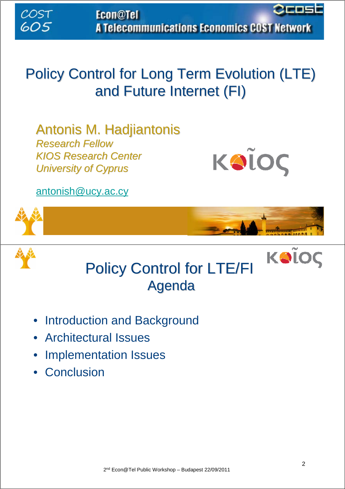Эсоэ **Econ@Tel** A Telecommunications Economics COST Network

### Policy Control for Long Term Evolution (LTE) and Future Internet (FI)

Antonis M. Hadjiantonis *Research Fellow KIOS Research Center Research Center University of Cyprus University of Cyprus*



antonish@ucy.ac.cy





COST

605



- Introduction and Background
- Architectural Issues
- Implementation Issues
- Conclusion

KOÏOÇ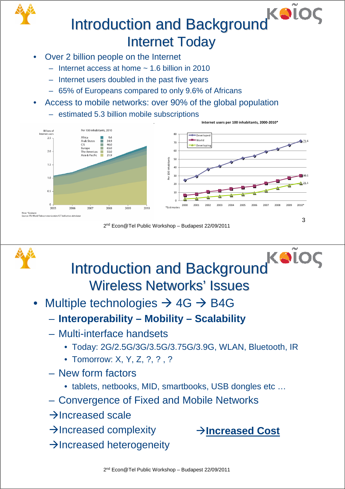# Introduction and Background KOI **Internet Today**

- Over 2 billion people on the Internet
	- $-$  Internet access at home  $\sim 1.6$  billion in 2010
	- Internet users doubled in the past five years
	- 65% of Europeans compared to only 9.6% of Africans
- Access to mobile networks: over 90% of the global population
	- estimated 5.3 billion mobile subscriptions



2nd Econ@Tel Public Workshop – Budapest 22/09/2011



 $\rightarrow$  Increased complexity

Æ**Increased Cost**

**Internet users per 100 inhabitants, 2000-2010\***

 $\rightarrow$  Increased heterogeneity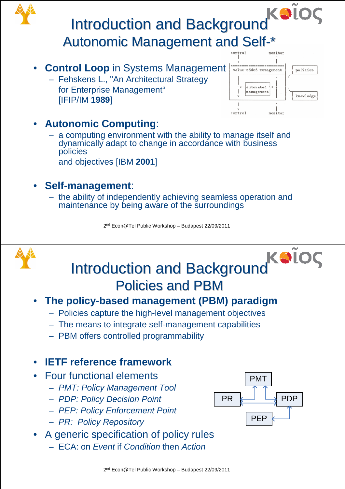## Introduction and Background Autonomic Management and Self-\*

- **Control Loop** in Systems Management
	- Fehskens L., "An Architectural Strategy for Enterprise Management" [IFIP/IM **1989**]



#### • **Autonomic Computing**:

– a computing environment with the ability to manage itself and dynamically adapt to change in accordance with business policies and objectives [IBM **2001**]

#### • **Self-management**:

– the ability of independently achieving seamless operation and maintenance by being aware of the surroundings

2nd Econ@Tel Public Workshop – Budapest 22/09/2011





#### • **The policy-based management (PBM) paradigm**

- Policies capture the high-level management objectives
- The means to integrate self-management capabilities
- PBM offers controlled programmability

#### • **IETF reference framework**

- Four functional elements
	- *PMT: Policy Management Tool*
	- *PDP: Policy Decision Point*
	- *PEP: Policy Enforcement Point*
	- *PR: Policy Repository*
- A generic specification of policy rules
	- ECA: on *Event* if *Condition* then *Action*

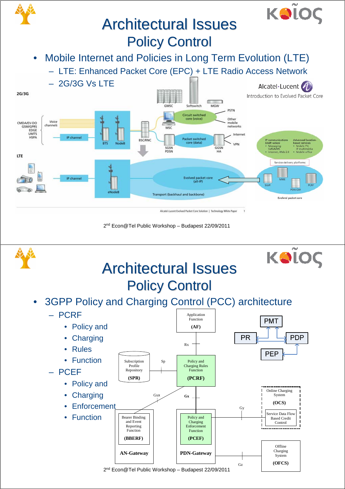

• 3GPP Policy and Charging Control (PCC) architecture **Policy Control** 

**Architectural Issues** 

KOLOC

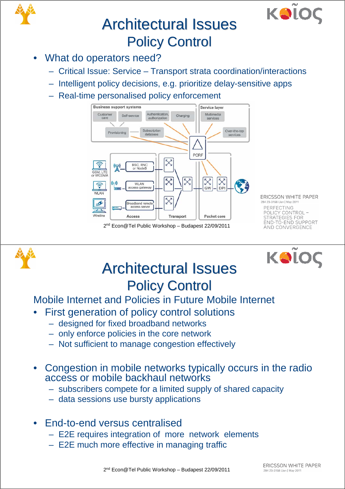



### **Architectural Issues Policy Control**

- What do operators need?
	- Critical Issue: Service Transport strata coordination/interactions
	- Intelligent policy decisions, e.g. prioritize delay-sensitive apps
	- Real-time personalised policy enforcement



2nd Econ@Tel Public Workshop – Budapest 22/09/2011

ERICSSON WHITE PAPER 284 23-3158 Uen | May 201 PERFECTING POLICY CONTROL -<br>STRATEGIES FOR END-TO-END SUPPORT AND CONVERGENCE





#### **Architectural Issues Policy Control**

Mobile Internet and Policies in Future Mobile Internet

- First generation of policy control solutions
	- designed for fixed broadband networks
	- only enforce policies in the core network
	- Not sufficient to manage congestion effectively
- Congestion in mobile networks typically occurs in the radio access or mobile backhaul networks
	- subscribers compete for a limited supply of shared capacity
	- data sessions use bursty applications
- End-to-end versus centralised
	- E2E requires integration of more network elements
	- E2E much more effective in managing traffic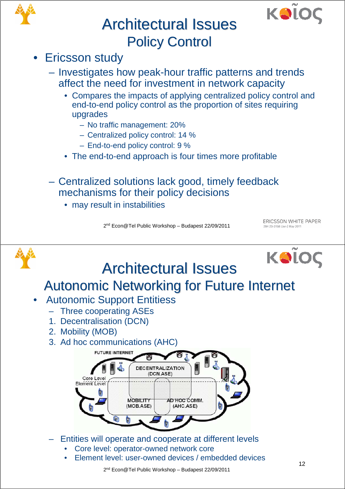



#### **Architectural Issues Policy Control**

- Ericsson study
	- Investigates how peak-hour traffic patterns and trends affect the need for investment in network capacity
		- Compares the impacts of applying centralized policy control and end-to-end policy control as the proportion of sites requiring upgrades
			- No traffic management: 20%
			- Centralized policy control: 14 %
			- End-to-end policy control: 9 %
		- The end-to-end approach is four times more profitable
	- Centralized solutions lack good, timely feedback mechanisms for their policy decisions
		- may result in instabilities

2nd Econ@Tel Public Workshop – Budapest 22/09/2011

ERICSSON WHITE PAPER 284 23-3158 Uen | May 2011



• Element level: user-owned devices / embedded devices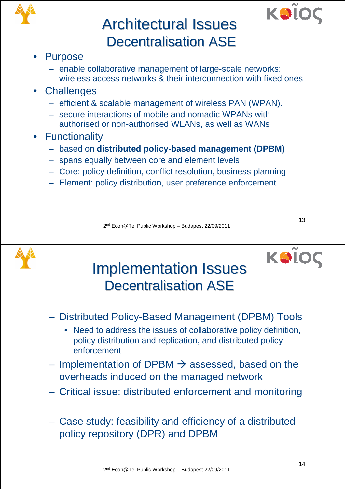



#### **Architectural Issues Decentralisation ASE**

#### **Purpose**

- enable collaborative management of large-scale networks: wireless access networks & their interconnection with fixed ones
- Challenges
	- efficient & scalable management of wireless PAN (WPAN).
	- secure interactions of mobile and nomadic WPANs with authorised or non-authorised WLANs, as well as WANs
- Functionality
	- based on **distributed policy-based management (DPBM)**
	- spans equally between core and element levels
	- Core: policy definition, conflict resolution, business planning
	- Element: policy distribution, user preference enforcement

2nd Econ@Tel Public Workshop – Budapest 22/09/2011



13

### **Implementation Issues** Decentralisation ASE

- Distributed Policy-Based Management (DPBM) Tools
	- Need to address the issues of collaborative policy definition, policy distribution and replication, and distributed policy enforcement
- Implementation of DPBM  $\rightarrow$  assessed, based on the overheads induced on the managed network
- Critical issue: distributed enforcement and monitoring
- Case study: feasibility and efficiency of a distributed policy repository (DPR) and DPBM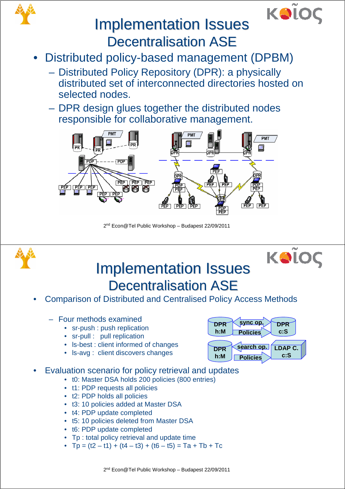



### **Implementation Issues Decentralisation ASE**

- Distributed policy-based management (DPBM)
	- Distributed Policy Repository (DPR): a physically distributed set of interconnected directories hosted on selected nodes.
	- DPR design glues together the distributed nodes responsible for collaborative management.



2nd Econ@Tel Public Workshop – Budapest 22/09/2011





### **Implementation Issues** Decentralisation ASE

• Comparison of Distributed and Centralised Policy Access Methods

#### – Four methods examined

- sr-push : push replication
- sr-pull : pull replication
- ls-best : client informed of changes
- ls-avg : client discovers changes

Evaluation scenario for policy retrieval and updates

- t0: Master DSA holds 200 policies (800 entries)
- t1: PDP requests all policies
- t2: PDP holds all policies
- t3: 10 policies added at Master DSA
- t4: PDP update completed
- t5: 10 policies deleted from Master DSA
- t6: PDP update completed
- Tp : total policy retrieval and update time
- $Tp = (t2 t1) + (t4 t3) + (t6 t5) = Ta + Tb + Tc$

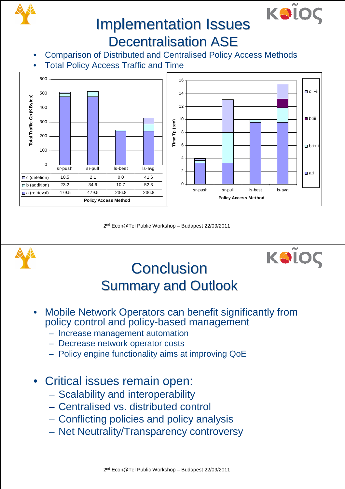



#### **Implementation Issues Decentralisation ASE**

- Comparison of Distributed and Centralised Policy Access Methods
- **Total Policy Access Traffic and Time**



2nd Econ@Tel Public Workshop – Budapest 22/09/2011





## **Conclusion Summary and Outlook**

- Mobile Network Operators can benefit significantly from policy control and policy-based management
	- Increase management automation
	- Decrease network operator costs
	- Policy engine functionality aims at improving QoE
- Critical issues remain open:
	- Scalability and interoperability
	- Centralised vs. distributed control
	- Conflicting policies and policy analysis
	- Net Neutrality/Transparency controversy